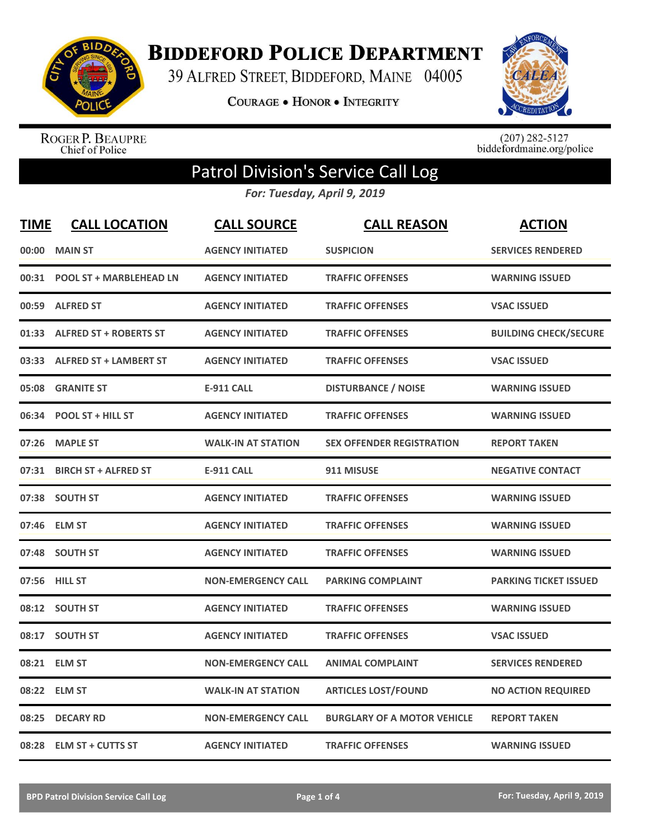

**BIDDEFORD POLICE DEPARTMENT** 

39 ALFRED STREET, BIDDEFORD, MAINE 04005

**COURAGE . HONOR . INTEGRITY** 



ROGER P. BEAUPRE<br>Chief of Police

 $(207)$  282-5127<br>biddefordmaine.org/police

## Patrol Division's Service Call Log

*For: Tuesday, April 9, 2019*

| <b>TIME</b> | <b>CALL LOCATION</b>           | <b>CALL SOURCE</b>        | <b>CALL REASON</b>                 | <b>ACTION</b>                |
|-------------|--------------------------------|---------------------------|------------------------------------|------------------------------|
| 00:00       | <b>MAIN ST</b>                 | <b>AGENCY INITIATED</b>   | <b>SUSPICION</b>                   | <b>SERVICES RENDERED</b>     |
| 00:31       | <b>POOL ST + MARBLEHEAD LN</b> | <b>AGENCY INITIATED</b>   | <b>TRAFFIC OFFENSES</b>            | <b>WARNING ISSUED</b>        |
| 00:59       | <b>ALFRED ST</b>               | <b>AGENCY INITIATED</b>   | <b>TRAFFIC OFFENSES</b>            | <b>VSAC ISSUED</b>           |
| 01:33       | <b>ALFRED ST + ROBERTS ST</b>  | <b>AGENCY INITIATED</b>   | <b>TRAFFIC OFFENSES</b>            | <b>BUILDING CHECK/SECURE</b> |
| 03:33       | <b>ALFRED ST + LAMBERT ST</b>  | <b>AGENCY INITIATED</b>   | <b>TRAFFIC OFFENSES</b>            | <b>VSAC ISSUED</b>           |
| 05:08       | <b>GRANITE ST</b>              | <b>E-911 CALL</b>         | <b>DISTURBANCE / NOISE</b>         | <b>WARNING ISSUED</b>        |
| 06:34       | <b>POOL ST + HILL ST</b>       | <b>AGENCY INITIATED</b>   | <b>TRAFFIC OFFENSES</b>            | <b>WARNING ISSUED</b>        |
| 07:26       | <b>MAPLE ST</b>                | <b>WALK-IN AT STATION</b> | <b>SEX OFFENDER REGISTRATION</b>   | <b>REPORT TAKEN</b>          |
| 07:31       | <b>BIRCH ST + ALFRED ST</b>    | <b>E-911 CALL</b>         | 911 MISUSE                         | <b>NEGATIVE CONTACT</b>      |
|             | 07:38 SOUTH ST                 | <b>AGENCY INITIATED</b>   | <b>TRAFFIC OFFENSES</b>            | <b>WARNING ISSUED</b>        |
| 07:46       | <b>ELM ST</b>                  | <b>AGENCY INITIATED</b>   | <b>TRAFFIC OFFENSES</b>            | <b>WARNING ISSUED</b>        |
| 07:48       | <b>SOUTH ST</b>                | <b>AGENCY INITIATED</b>   | <b>TRAFFIC OFFENSES</b>            | <b>WARNING ISSUED</b>        |
|             | 07:56 HILL ST                  | <b>NON-EMERGENCY CALL</b> | <b>PARKING COMPLAINT</b>           | <b>PARKING TICKET ISSUED</b> |
|             | 08:12 SOUTH ST                 | <b>AGENCY INITIATED</b>   | <b>TRAFFIC OFFENSES</b>            | <b>WARNING ISSUED</b>        |
| 08:17       | <b>SOUTH ST</b>                | <b>AGENCY INITIATED</b>   | <b>TRAFFIC OFFENSES</b>            | <b>VSAC ISSUED</b>           |
|             | 08:21 ELM ST                   | <b>NON-EMERGENCY CALL</b> | <b>ANIMAL COMPLAINT</b>            | <b>SERVICES RENDERED</b>     |
|             | 08:22 ELM ST                   | <b>WALK-IN AT STATION</b> | <b>ARTICLES LOST/FOUND</b>         | <b>NO ACTION REQUIRED</b>    |
| 08:25       | <b>DECARY RD</b>               | <b>NON-EMERGENCY CALL</b> | <b>BURGLARY OF A MOTOR VEHICLE</b> | <b>REPORT TAKEN</b>          |
|             | 08:28 ELM ST + CUTTS ST        | <b>AGENCY INITIATED</b>   | <b>TRAFFIC OFFENSES</b>            | <b>WARNING ISSUED</b>        |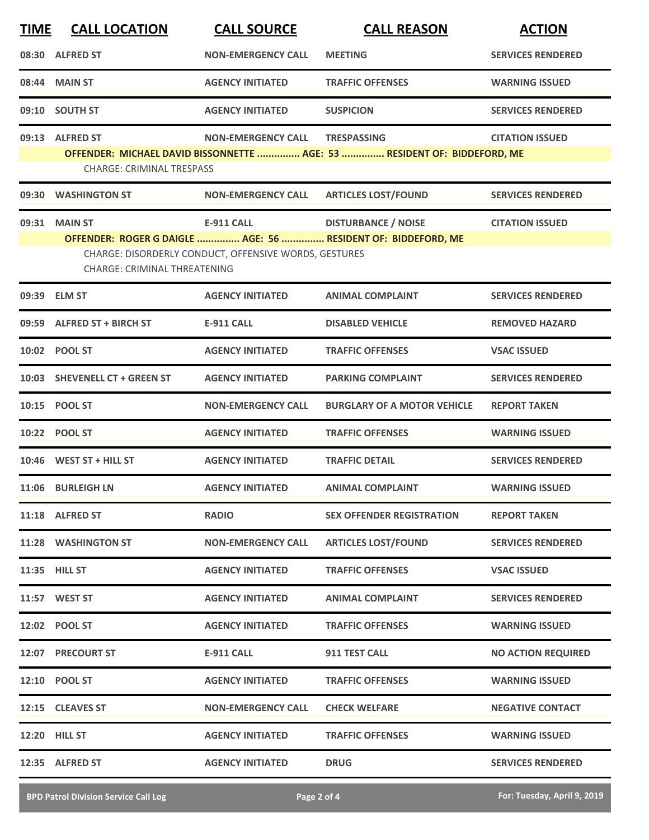| <b>TIME</b> | <b>CALL LOCATION</b>                | <b>CALL SOURCE</b>                                    | <b>CALL REASON</b>                                                       | <b>ACTION</b>             |
|-------------|-------------------------------------|-------------------------------------------------------|--------------------------------------------------------------------------|---------------------------|
|             | 08:30 ALFRED ST                     | <b>NON-EMERGENCY CALL</b>                             | <b>MEETING</b>                                                           | <b>SERVICES RENDERED</b>  |
| 08:44       | <b>MAIN ST</b>                      | <b>AGENCY INITIATED</b>                               | <b>TRAFFIC OFFENSES</b>                                                  | <b>WARNING ISSUED</b>     |
|             | 09:10 SOUTH ST                      | <b>AGENCY INITIATED</b>                               | <b>SUSPICION</b>                                                         | <b>SERVICES RENDERED</b>  |
|             | 09:13 ALFRED ST                     | <b>NON-EMERGENCY CALL</b>                             | <b>TRESPASSING</b>                                                       | <b>CITATION ISSUED</b>    |
|             | <b>CHARGE: CRIMINAL TRESPASS</b>    |                                                       | OFFENDER: MICHAEL DAVID BISSONNETTE  AGE: 53  RESIDENT OF: BIDDEFORD, ME |                           |
|             | 09:30 WASHINGTON ST                 | <b>NON-EMERGENCY CALL</b>                             | <b>ARTICLES LOST/FOUND</b>                                               | <b>SERVICES RENDERED</b>  |
|             | 09:31 MAIN ST                       | <b>E-911 CALL</b>                                     | <b>DISTURBANCE / NOISE</b>                                               | <b>CITATION ISSUED</b>    |
|             |                                     | CHARGE: DISORDERLY CONDUCT, OFFENSIVE WORDS, GESTURES | OFFENDER: ROGER G DAIGLE  AGE: 56  RESIDENT OF: BIDDEFORD, ME            |                           |
|             | <b>CHARGE: CRIMINAL THREATENING</b> |                                                       |                                                                          |                           |
|             | 09:39 ELM ST                        | <b>AGENCY INITIATED</b>                               | <b>ANIMAL COMPLAINT</b>                                                  | <b>SERVICES RENDERED</b>  |
| 09:59       | <b>ALFRED ST + BIRCH ST</b>         | <b>E-911 CALL</b>                                     | <b>DISABLED VEHICLE</b>                                                  | <b>REMOVED HAZARD</b>     |
|             | 10:02 POOL ST                       | <b>AGENCY INITIATED</b>                               | <b>TRAFFIC OFFENSES</b>                                                  | <b>VSAC ISSUED</b>        |
|             | 10:03 SHEVENELL CT + GREEN ST       | <b>AGENCY INITIATED</b>                               | <b>PARKING COMPLAINT</b>                                                 | <b>SERVICES RENDERED</b>  |
|             | 10:15 POOL ST                       | <b>NON-EMERGENCY CALL</b>                             | <b>BURGLARY OF A MOTOR VEHICLE</b>                                       | <b>REPORT TAKEN</b>       |
|             | 10:22 POOL ST                       | <b>AGENCY INITIATED</b>                               | <b>TRAFFIC OFFENSES</b>                                                  | <b>WARNING ISSUED</b>     |
|             | 10:46 WEST ST + HILL ST             | <b>AGENCY INITIATED</b>                               | <b>TRAFFIC DETAIL</b>                                                    | <b>SERVICES RENDERED</b>  |
|             | 11:06 BURLEIGH LN                   | <b>AGENCY INITIATED</b>                               | <b>ANIMAL COMPLAINT</b>                                                  | <b>WARNING ISSUED</b>     |
|             | 11:18 ALFRED ST                     | <b>RADIO</b>                                          | <b>SEX OFFENDER REGISTRATION</b>                                         | <b>REPORT TAKEN</b>       |
|             | 11:28 WASHINGTON ST                 | <b>NON-EMERGENCY CALL</b>                             | <b>ARTICLES LOST/FOUND</b>                                               | <b>SERVICES RENDERED</b>  |
|             | 11:35 HILL ST                       | <b>AGENCY INITIATED</b>                               | <b>TRAFFIC OFFENSES</b>                                                  | <b>VSAC ISSUED</b>        |
|             | 11:57 WEST ST                       | <b>AGENCY INITIATED</b>                               | <b>ANIMAL COMPLAINT</b>                                                  | <b>SERVICES RENDERED</b>  |
|             | 12:02 POOL ST                       | <b>AGENCY INITIATED</b>                               | <b>TRAFFIC OFFENSES</b>                                                  | <b>WARNING ISSUED</b>     |
|             | 12:07 PRECOURT ST                   | <b>E-911 CALL</b>                                     | 911 TEST CALL                                                            | <b>NO ACTION REQUIRED</b> |
|             | 12:10 POOL ST                       | <b>AGENCY INITIATED</b>                               | <b>TRAFFIC OFFENSES</b>                                                  | <b>WARNING ISSUED</b>     |
|             | 12:15 CLEAVES ST                    | <b>NON-EMERGENCY CALL</b>                             | <b>CHECK WELFARE</b>                                                     | <b>NEGATIVE CONTACT</b>   |
|             | 12:20 HILL ST                       | <b>AGENCY INITIATED</b>                               | <b>TRAFFIC OFFENSES</b>                                                  | <b>WARNING ISSUED</b>     |
|             | 12:35 ALFRED ST                     | <b>AGENCY INITIATED</b>                               | <b>DRUG</b>                                                              | <b>SERVICES RENDERED</b>  |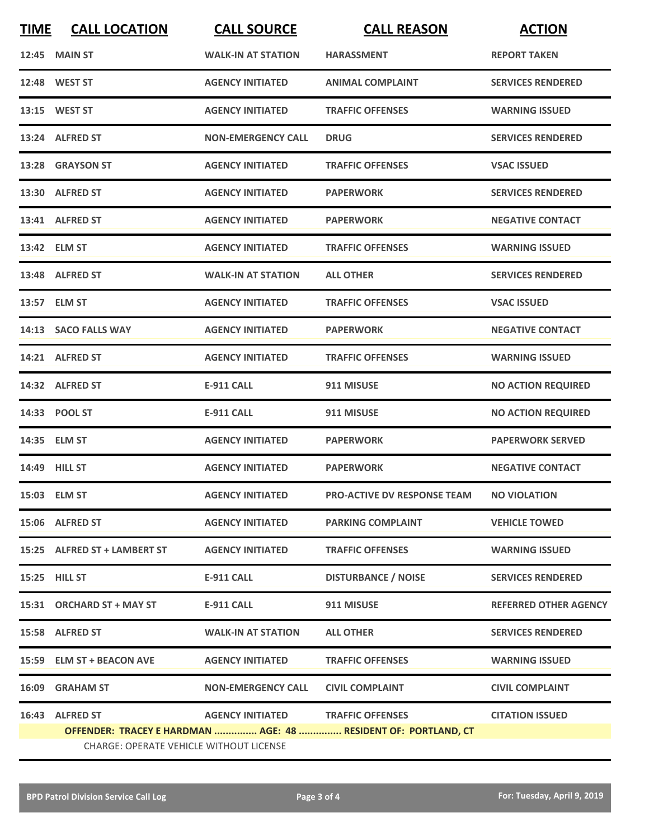| <b>TIME</b> | <b>CALL LOCATION</b>                           | <b>CALL SOURCE</b>                | <b>CALL REASON</b>                                             | <b>ACTION</b>                |
|-------------|------------------------------------------------|-----------------------------------|----------------------------------------------------------------|------------------------------|
|             | <b>12:45 MAIN ST</b>                           | <b>WALK-IN AT STATION</b>         | <b>HARASSMENT</b>                                              | <b>REPORT TAKEN</b>          |
|             | 12:48 WEST ST                                  | <b>AGENCY INITIATED</b>           | <b>ANIMAL COMPLAINT</b>                                        | <b>SERVICES RENDERED</b>     |
|             | 13:15 WEST ST                                  | <b>AGENCY INITIATED</b>           | <b>TRAFFIC OFFENSES</b>                                        | <b>WARNING ISSUED</b>        |
|             | 13:24 ALFRED ST                                | <b>NON-EMERGENCY CALL</b>         | <b>DRUG</b>                                                    | <b>SERVICES RENDERED</b>     |
|             | 13:28 GRAYSON ST                               | <b>AGENCY INITIATED</b>           | <b>TRAFFIC OFFENSES</b>                                        | <b>VSAC ISSUED</b>           |
|             | 13:30 ALFRED ST                                | <b>AGENCY INITIATED</b>           | <b>PAPERWORK</b>                                               | <b>SERVICES RENDERED</b>     |
|             | 13:41 ALFRED ST                                | <b>AGENCY INITIATED</b>           | <b>PAPERWORK</b>                                               | <b>NEGATIVE CONTACT</b>      |
|             | 13:42 ELM ST                                   | <b>AGENCY INITIATED</b>           | <b>TRAFFIC OFFENSES</b>                                        | <b>WARNING ISSUED</b>        |
|             | 13:48 ALFRED ST                                | <b>WALK-IN AT STATION</b>         | <b>ALL OTHER</b>                                               | <b>SERVICES RENDERED</b>     |
|             | 13:57 ELM ST                                   | <b>AGENCY INITIATED</b>           | <b>TRAFFIC OFFENSES</b>                                        | <b>VSAC ISSUED</b>           |
|             | 14:13 SACO FALLS WAY                           | <b>AGENCY INITIATED</b>           | <b>PAPERWORK</b>                                               | <b>NEGATIVE CONTACT</b>      |
|             | 14:21 ALFRED ST                                | <b>AGENCY INITIATED</b>           | <b>TRAFFIC OFFENSES</b>                                        | <b>WARNING ISSUED</b>        |
|             | 14:32 ALFRED ST                                | <b>E-911 CALL</b>                 | 911 MISUSE                                                     | <b>NO ACTION REQUIRED</b>    |
|             | 14:33 POOL ST                                  | <b>E-911 CALL</b>                 | 911 MISUSE                                                     | <b>NO ACTION REQUIRED</b>    |
|             | 14:35 ELM ST                                   | <b>AGENCY INITIATED</b>           | <b>PAPERWORK</b>                                               | <b>PAPERWORK SERVED</b>      |
|             | 14:49 HILL ST                                  | <b>AGENCY INITIATED</b>           | <b>PAPERWORK</b>                                               | <b>NEGATIVE CONTACT</b>      |
|             | 15:03 ELM ST                                   | <b>AGENCY INITIATED</b>           | PRO-ACTIVE DV RESPONSE TEAM                                    | <b>NO VIOLATION</b>          |
|             | 15:06 ALFRED ST                                | <b>AGENCY INITIATED</b>           | <b>PARKING COMPLAINT</b>                                       | <b>VEHICLE TOWED</b>         |
|             | 15:25 ALFRED ST + LAMBERT ST                   | <b>AGENCY INITIATED</b>           | <b>TRAFFIC OFFENSES</b>                                        | <b>WARNING ISSUED</b>        |
|             | 15:25 HILL ST                                  | E-911 CALL                        | <b>DISTURBANCE / NOISE</b>                                     | <b>SERVICES RENDERED</b>     |
|             | 15:31 ORCHARD ST + MAY ST                      | <b>E-911 CALL</b>                 | 911 MISUSE                                                     | <b>REFERRED OTHER AGENCY</b> |
|             | 15:58 ALFRED ST                                | <b>WALK-IN AT STATION</b>         | <b>ALL OTHER</b>                                               | <b>SERVICES RENDERED</b>     |
|             | 15:59 ELM ST + BEACON AVE                      | <b>AGENCY INITIATED</b>           | <b>TRAFFIC OFFENSES</b>                                        | <b>WARNING ISSUED</b>        |
|             | 16:09 GRAHAM ST                                | <b>NON-EMERGENCY CALL</b>         | <b>CIVIL COMPLAINT</b>                                         | <b>CIVIL COMPLAINT</b>       |
|             | 16:43 ALFRED ST                                | AGENCY INITIATED TRAFFIC OFFENSES |                                                                | <b>CITATION ISSUED</b>       |
|             |                                                |                                   | OFFENDER: TRACEY E HARDMAN  AGE: 48  RESIDENT OF: PORTLAND, CT |                              |
|             | <b>CHARGE: OPERATE VEHICLE WITHOUT LICENSE</b> |                                   |                                                                |                              |